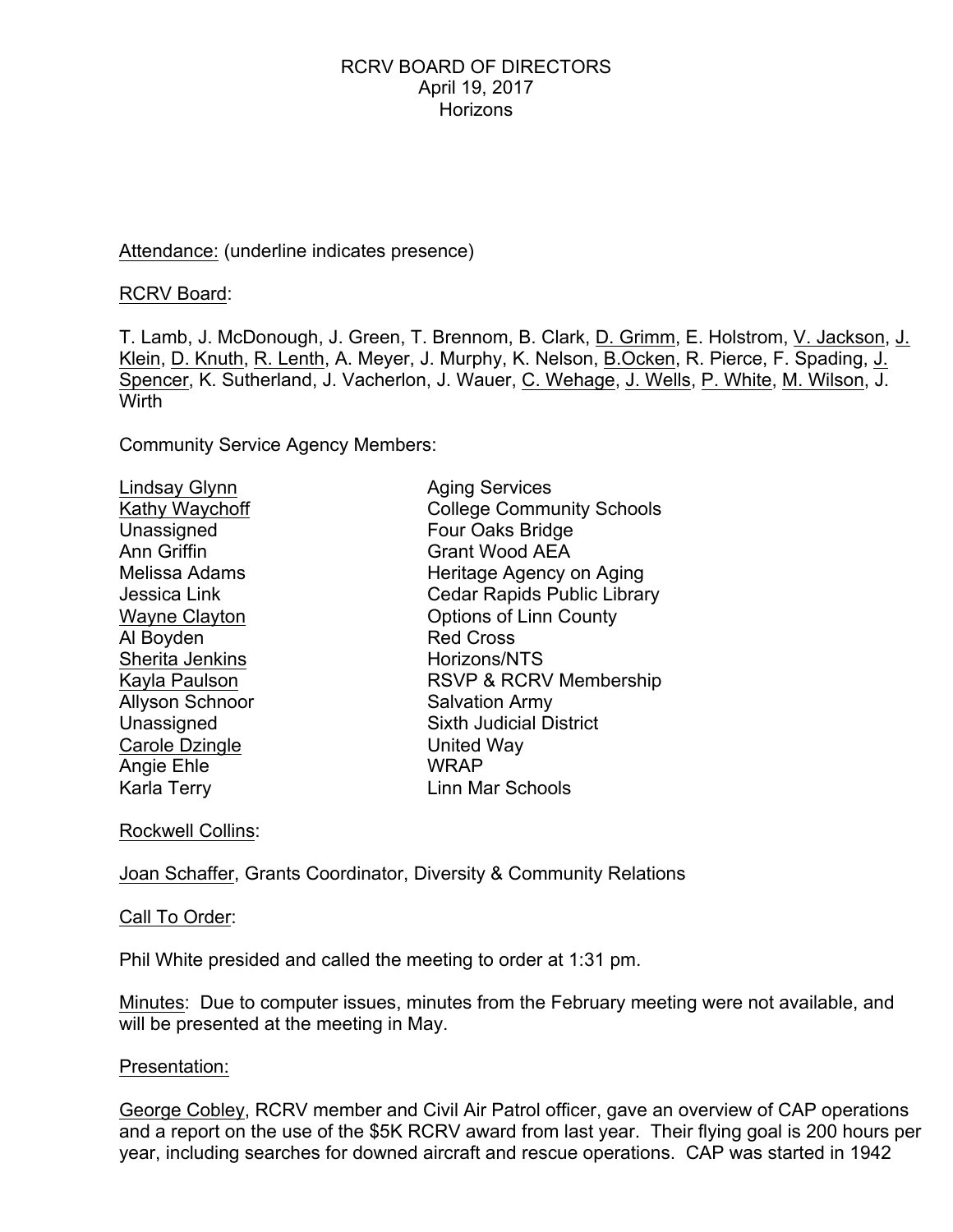## Attendance: (underline indicates presence)

RCRV Board:

T. Lamb, J. McDonough, J. Green, T. Brennom, B. Clark, D. Grimm, E. Holstrom, V. Jackson, J. Klein, D. Knuth, R. Lenth, A. Meyer, J. Murphy, K. Nelson, B.Ocken, R. Pierce, F. Spading, J. Spencer, K. Sutherland, J. Vacherlon, J. Wauer, C. Wehage, J. Wells, P. White, M. Wilson, J. Wirth

Community Service Agency Members:

| Lindsay Glynn        | <b>Aging Services</b>              |
|----------------------|------------------------------------|
| Kathy Waychoff       | <b>College Community Schools</b>   |
| Unassigned           | Four Oaks Bridge                   |
| Ann Griffin          | <b>Grant Wood AEA</b>              |
| Melissa Adams        | Heritage Agency on Aging           |
| Jessica Link         | <b>Cedar Rapids Public Library</b> |
| <b>Wayne Clayton</b> | <b>Options of Linn County</b>      |
| Al Boyden            | <b>Red Cross</b>                   |
| Sherita Jenkins      | Horizons/NTS                       |
| Kayla Paulson        | RSVP & RCRV Membership             |
| Allyson Schnoor      | <b>Salvation Army</b>              |
| Unassigned           | <b>Sixth Judicial District</b>     |
| Carole Dzingle       | United Way                         |
| Angie Ehle           | <b>WRAP</b>                        |
| Karla Terry          | Linn Mar Schools                   |
|                      |                                    |

Rockwell Collins:

Joan Schaffer, Grants Coordinator, Diversity & Community Relations

Call To Order:

Phil White presided and called the meeting to order at 1:31 pm.

Minutes: Due to computer issues, minutes from the February meeting were not available, and will be presented at the meeting in May.

### Presentation:

George Cobley, RCRV member and Civil Air Patrol officer, gave an overview of CAP operations and a report on the use of the \$5K RCRV award from last year. Their flying goal is 200 hours per year, including searches for downed aircraft and rescue operations. CAP was started in 1942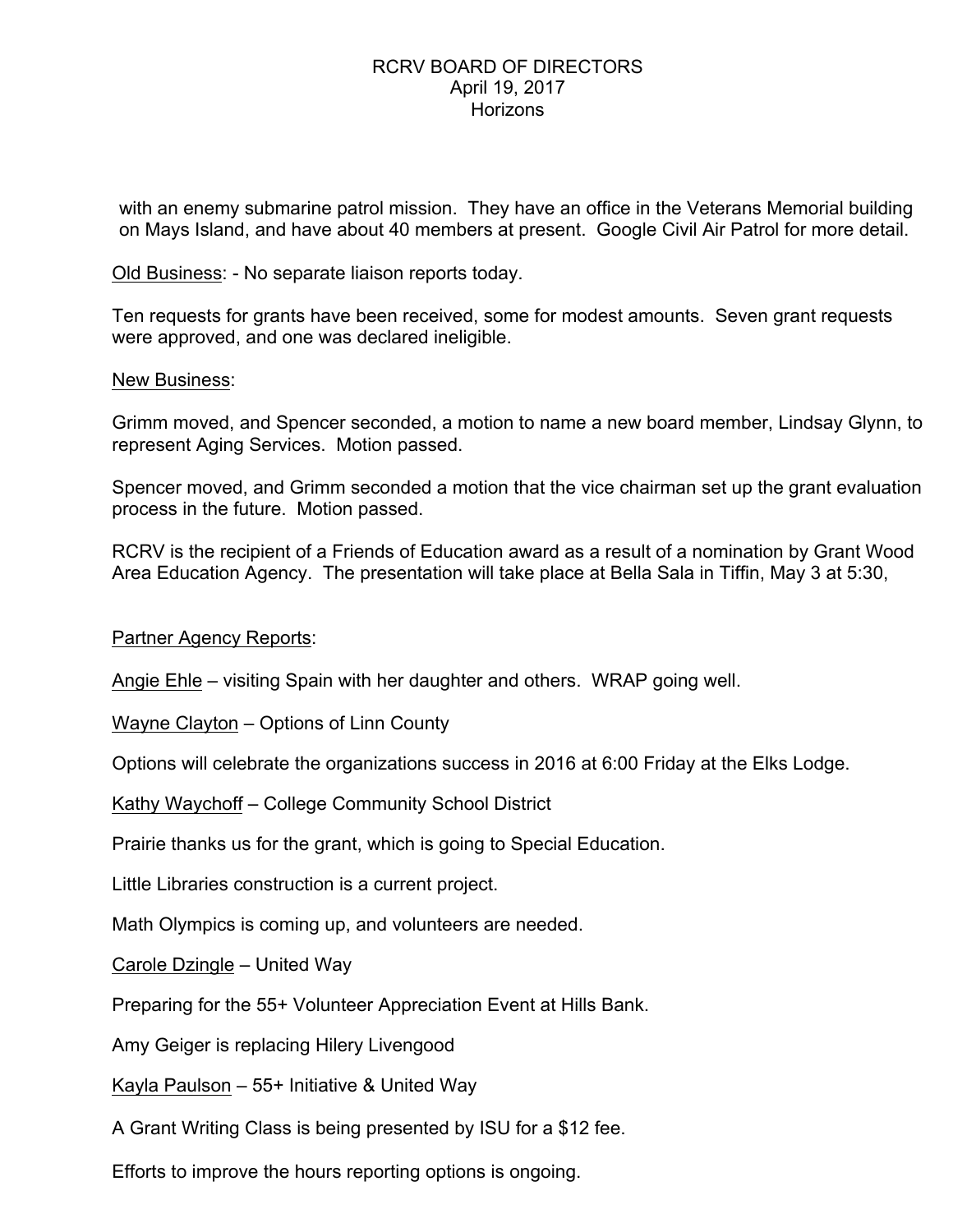with an enemy submarine patrol mission. They have an office in the Veterans Memorial building on Mays Island, and have about 40 members at present. Google Civil Air Patrol for more detail.

Old Business: - No separate liaison reports today.

Ten requests for grants have been received, some for modest amounts. Seven grant requests were approved, and one was declared ineligible.

### New Business:

Grimm moved, and Spencer seconded, a motion to name a new board member, Lindsay Glynn, to represent Aging Services. Motion passed.

Spencer moved, and Grimm seconded a motion that the vice chairman set up the grant evaluation process in the future. Motion passed.

RCRV is the recipient of a Friends of Education award as a result of a nomination by Grant Wood Area Education Agency. The presentation will take place at Bella Sala in Tiffin, May 3 at 5:30,

Partner Agency Reports:

Angie Ehle – visiting Spain with her daughter and others. WRAP going well.

Wayne Clayton – Options of Linn County

Options will celebrate the organizations success in 2016 at 6:00 Friday at the Elks Lodge.

Kathy Waychoff – College Community School District

Prairie thanks us for the grant, which is going to Special Education.

Little Libraries construction is a current project.

Math Olympics is coming up, and volunteers are needed.

Carole Dzingle – United Way

Preparing for the 55+ Volunteer Appreciation Event at Hills Bank.

Amy Geiger is replacing Hilery Livengood

Kayla Paulson – 55+ Initiative & United Way

A Grant Writing Class is being presented by ISU for a \$12 fee.

Efforts to improve the hours reporting options is ongoing.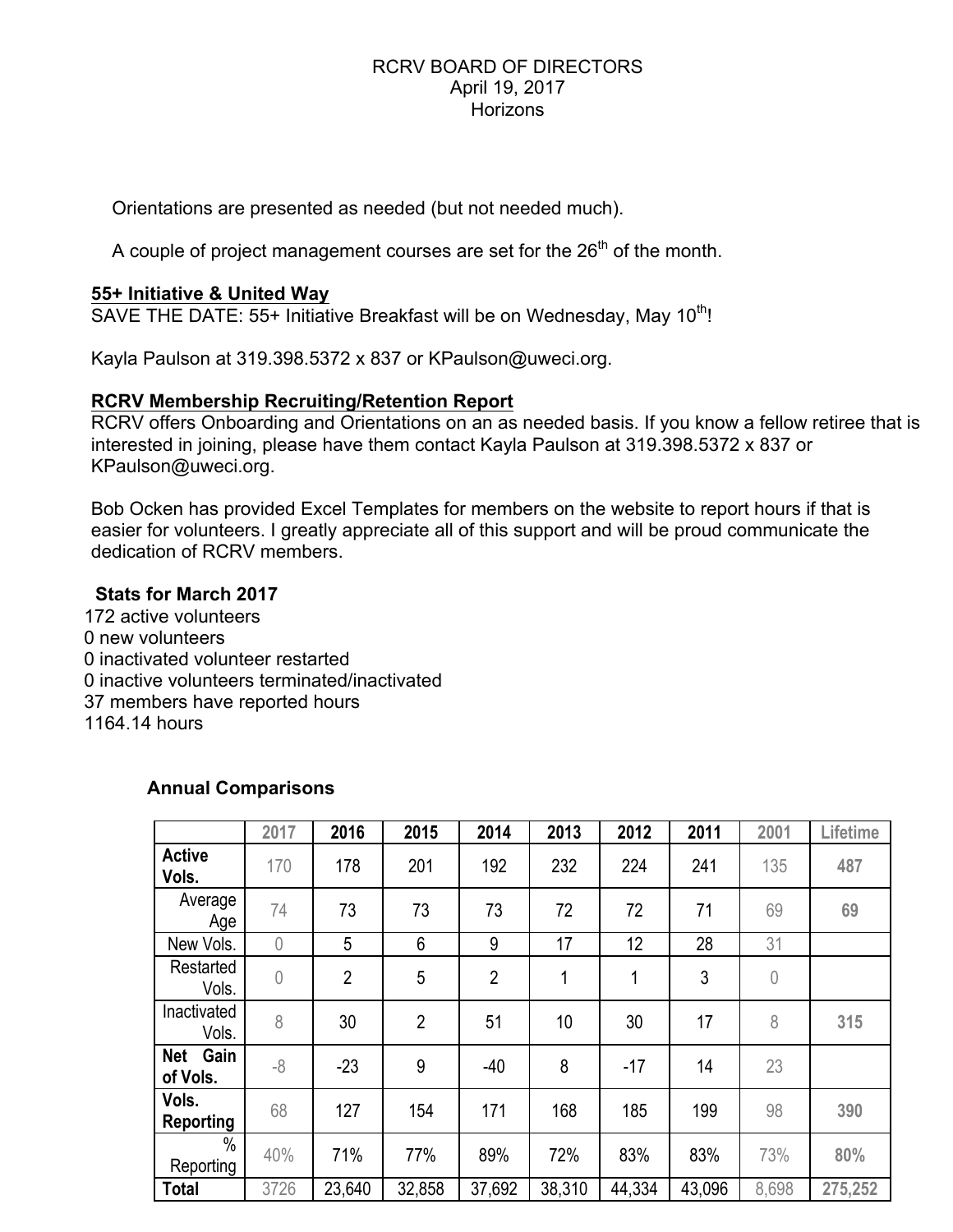Orientations are presented as needed (but not needed much).

A couple of project management courses are set for the  $26<sup>th</sup>$  of the month.

# **55+ Initiative & United Way**

SAVE THE DATE: 55+ Initiative Breakfast will be on Wednesday, May 10<sup>th</sup>!

Kayla Paulson at 319.398.5372 x 837 or KPaulson@uweci.org.

# **RCRV Membership Recruiting/Retention Report**

RCRV offers Onboarding and Orientations on an as needed basis. If you know a fellow retiree that is interested in joining, please have them contact Kayla Paulson at 319.398.5372 x 837 or KPaulson@uweci.org.

Bob Ocken has provided Excel Templates for members on the website to report hours if that is easier for volunteers. I greatly appreciate all of this support and will be proud communicate the dedication of RCRV members.

# **Stats for March 2017**

172 active volunteers 0 new volunteers 0 inactivated volunteer restarted 0 inactive volunteers terminated/inactivated 37 members have reported hours 1164.14 hours

# **Annual Comparisons**

|                                | 2017       | 2016           | 2015           | 2014           | 2013   | 2012   | 2011   | 2001           | Lifetime |
|--------------------------------|------------|----------------|----------------|----------------|--------|--------|--------|----------------|----------|
| <b>Active</b><br>Vols.         | 170        | 178            | 201            | 192            | 232    | 224    | 241    | 135            | 487      |
| Average<br>Age                 | 74         | 73             | 73             | 73             | 72     | 72     | 71     | 69             | 69       |
| New Vols.                      | $\sqrt{a}$ | 5              | 6              | 9              | 17     | 12     | 28     | 31             |          |
| Restarted<br>Vols.             | $\sqrt{a}$ | $\overline{2}$ | 5              | $\overline{2}$ | 1      | 1      | 3      | $\overline{0}$ |          |
| Inactivated<br>Vols.           | 8          | 30             | $\overline{2}$ | 51             | 10     | 30     | 17     | 8              | 315      |
| Gain<br><b>Net</b><br>of Vols. | $-8$       | $-23$          | 9              | $-40$          | 8      | $-17$  | 14     | 23             |          |
| Vols.<br><b>Reporting</b>      | 68         | 127            | 154            | 171            | 168    | 185    | 199    | 98             | 390      |
| $\%$<br>Reporting              | 40%        | 71%            | 77%            | 89%            | 72%    | 83%    | 83%    | 73%            | 80%      |
| <b>Total</b>                   | 3726       | 23,640         | 32,858         | 37,692         | 38,310 | 44,334 | 43,096 | 8,698          | 275,252  |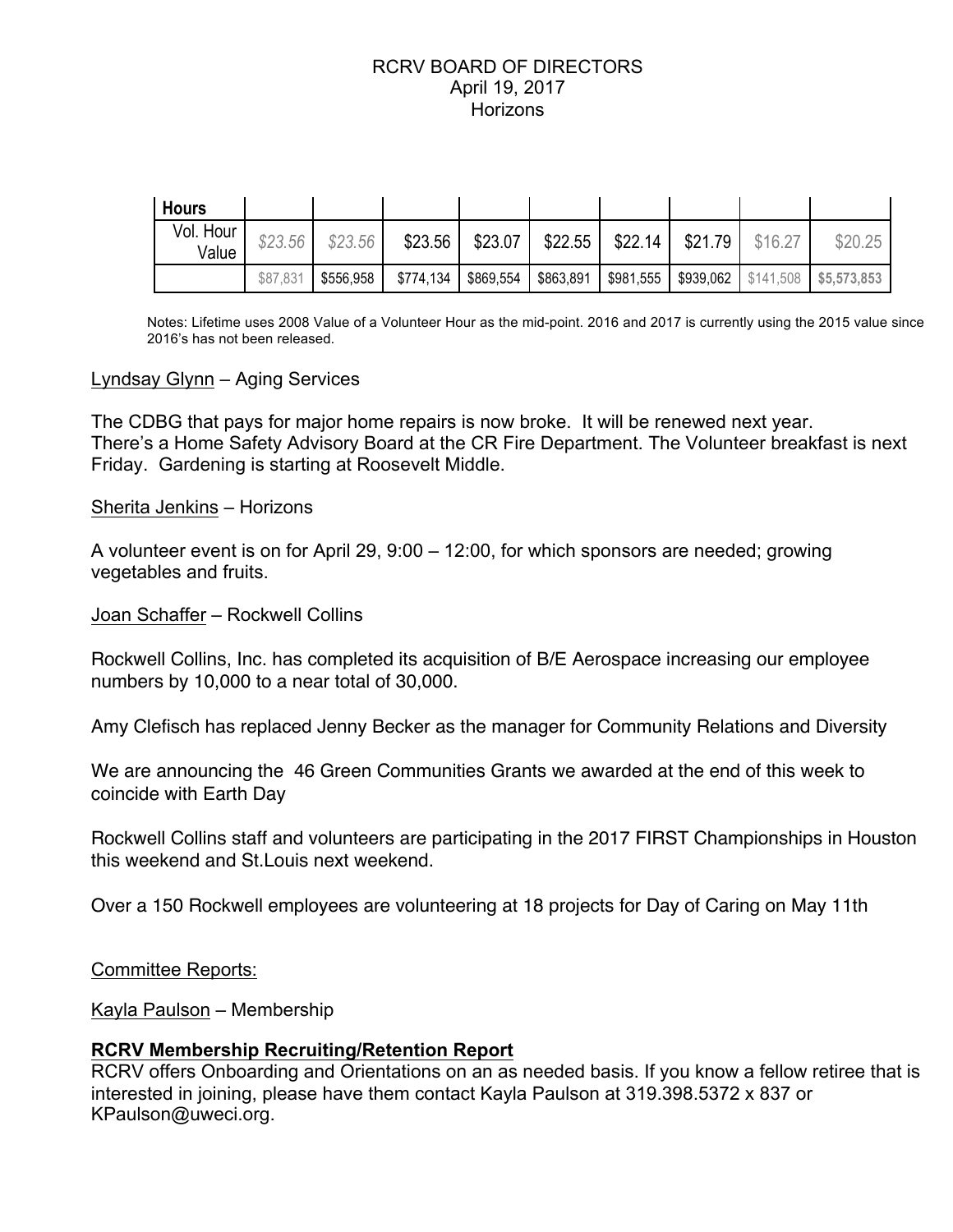| <b>Hours</b>       |          |           |           |           |           |          |         |         |                                                 |
|--------------------|----------|-----------|-----------|-----------|-----------|----------|---------|---------|-------------------------------------------------|
| Vol. Hour<br>Value | \$23.56  | \$23.56   | \$23.56   | \$23.07   | \$22.55   | $$22.14$ | \$21.79 | \$16.27 | \$20.25                                         |
|                    | \$87,831 | \$556,958 | \$774,134 | \$869,554 | \$863,891 |          |         |         | \$981,555   \$939,062   \$141,508   \$5,573,853 |

Notes: Lifetime uses 2008 Value of a Volunteer Hour as the mid-point. 2016 and 2017 is currently using the 2015 value since 2016's has not been released.

### Lyndsay Glynn – Aging Services

The CDBG that pays for major home repairs is now broke. It will be renewed next year. There's a Home Safety Advisory Board at the CR Fire Department. The Volunteer breakfast is next Friday. Gardening is starting at Roosevelt Middle.

### Sherita Jenkins – Horizons

A volunteer event is on for April 29, 9:00 – 12:00, for which sponsors are needed; growing vegetables and fruits.

### Joan Schaffer – Rockwell Collins

Rockwell Collins, Inc. has completed its acquisition of B/E Aerospace increasing our employee numbers by 10,000 to a near total of 30,000.

Amy Clefisch has replaced Jenny Becker as the manager for Community Relations and Diversity

We are announcing the 46 Green Communities Grants we awarded at the end of this week to coincide with Earth Day

Rockwell Collins staff and volunteers are participating in the 2017 FIRST Championships in Houston this weekend and St.Louis next weekend.

Over a 150 Rockwell employees are volunteering at 18 projects for Day of Caring on May 11th

Committee Reports:

Kayla Paulson – Membership

### **RCRV Membership Recruiting/Retention Report**

RCRV offers Onboarding and Orientations on an as needed basis. If you know a fellow retiree that is interested in joining, please have them contact Kayla Paulson at 319.398.5372 x 837 or KPaulson@uweci.org.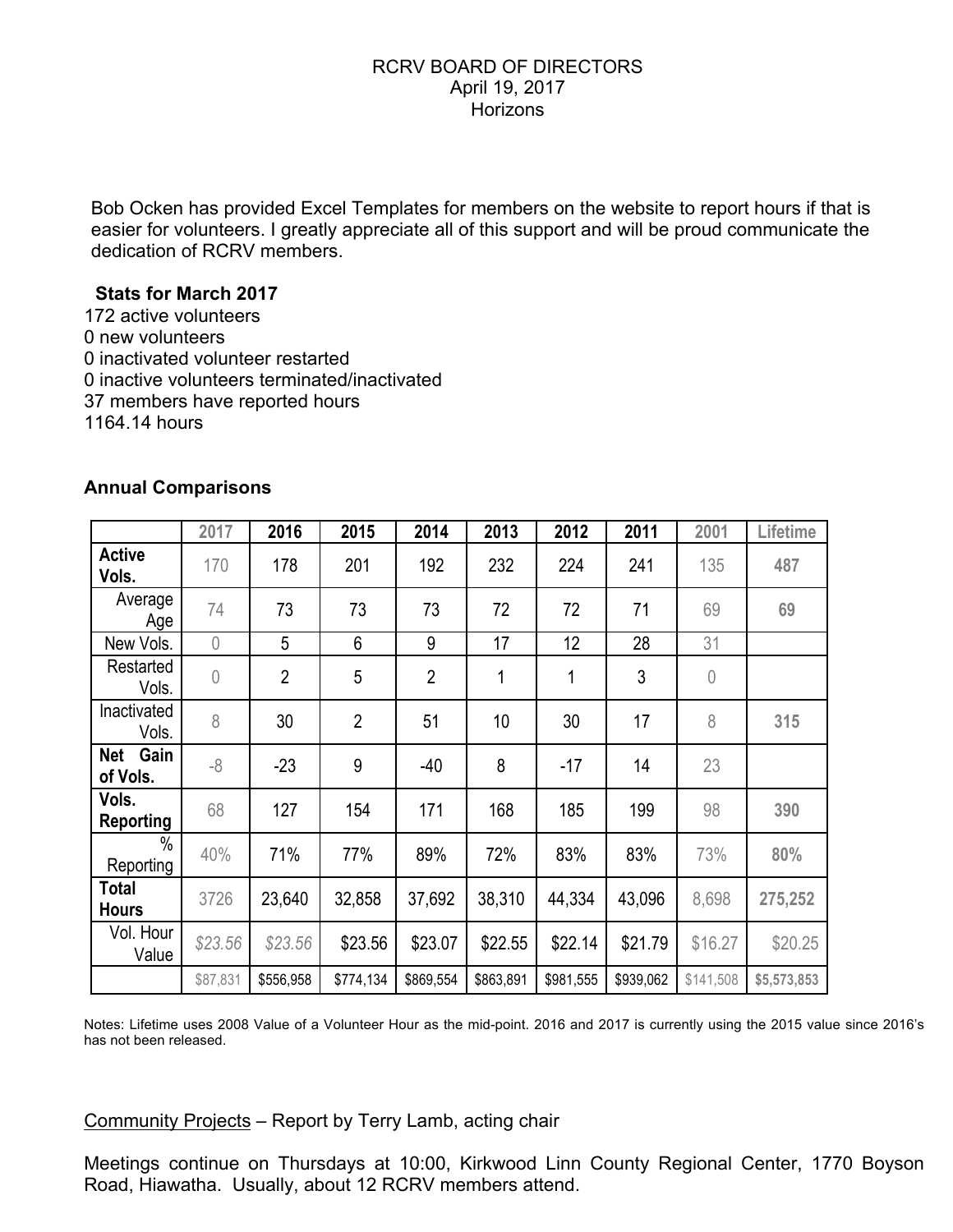Bob Ocken has provided Excel Templates for members on the website to report hours if that is easier for volunteers. I greatly appreciate all of this support and will be proud communicate the dedication of RCRV members.

# **Stats for March 2017**

172 active volunteers 0 new volunteers 0 inactivated volunteer restarted 0 inactive volunteers terminated/inactivated 37 members have reported hours 1164.14 hours

|                                | 2017           | 2016           | 2015           | 2014           | 2013      | 2012      | 2011      | 2001           | Lifetime    |
|--------------------------------|----------------|----------------|----------------|----------------|-----------|-----------|-----------|----------------|-------------|
| <b>Active</b><br>Vols.         | 170            | 178            | 201            | 192            | 232       | 224       | 241       | 135            | 487         |
| Average<br>Age                 | 74             | 73             | 73             | 73             | 72        | 72        | 71        | 69             | 69          |
| New Vols.                      | $\overline{0}$ | 5              | 6              | 9              | 17        | 12        | 28        | 31             |             |
| Restarted<br>Vols.             | $\overline{0}$ | $\overline{2}$ | 5              | $\overline{2}$ | 1         | 1         | 3         | $\overline{0}$ |             |
| Inactivated<br>Vols.           | 8              | 30             | $\overline{2}$ | 51             | 10        | 30        | 17        | 8              | 315         |
| Gain<br><b>Net</b><br>of Vols. | $-8$           | $-23$          | 9              | $-40$          | 8         | $-17$     | 14        | 23             |             |
| Vols.<br><b>Reporting</b>      | 68             | 127            | 154            | 171            | 168       | 185       | 199       | 98             | 390         |
| $\frac{0}{0}$<br>Reporting     | 40%            | 71%            | 77%            | 89%            | 72%       | 83%       | 83%       | 73%            | 80%         |
| <b>Total</b><br><b>Hours</b>   | 3726           | 23,640         | 32,858         | 37,692         | 38,310    | 44,334    | 43,096    | 8,698          | 275,252     |
| Vol. Hour<br>Value             | \$23.56        | \$23.56        | \$23.56        | \$23.07        | \$22.55   | \$22.14   | \$21.79   | \$16.27        | \$20.25     |
|                                | \$87,831       | \$556,958      | \$774,134      | \$869,554      | \$863,891 | \$981,555 | \$939,062 | \$141,508      | \$5,573,853 |

# **Annual Comparisons**

Notes: Lifetime uses 2008 Value of a Volunteer Hour as the mid-point. 2016 and 2017 is currently using the 2015 value since 2016's has not been released.

# Community Projects – Report by Terry Lamb, acting chair

Meetings continue on Thursdays at 10:00, Kirkwood Linn County Regional Center, 1770 Boyson Road, Hiawatha. Usually, about 12 RCRV members attend.